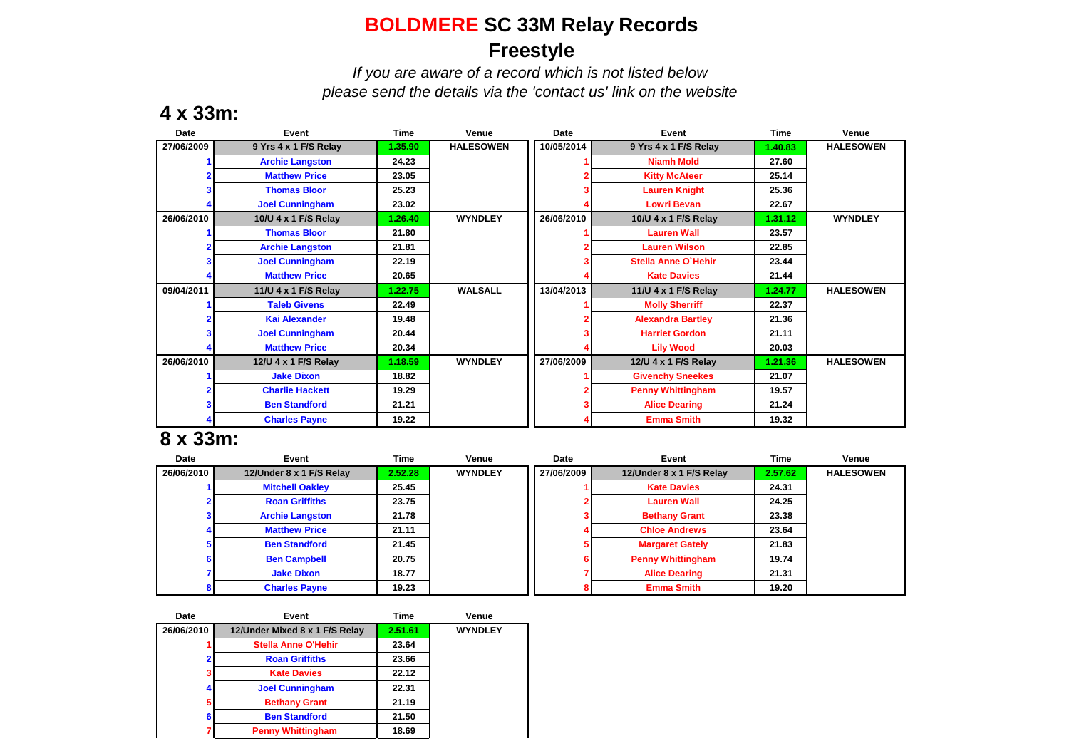## **BOLDMERE SC 33M Relay Records Freestyle**

*If you are aware of a record which is not listed below please send the details via the 'contact us' link on the website*

### **4 x 33m:**

| Date       | Event                  | Time    | Venue            | Date       | Event                    | <b>Time</b> | Venue            |
|------------|------------------------|---------|------------------|------------|--------------------------|-------------|------------------|
| 27/06/2009 | 9 Yrs 4 x 1 F/S Relay  | 1.35.90 | <b>HALESOWEN</b> | 10/05/2014 | 9 Yrs 4 x 1 F/S Relay    | 1.40.83     | <b>HALESOWEN</b> |
|            | <b>Archie Langston</b> | 24.23   |                  |            | <b>Niamh Mold</b>        | 27.60       |                  |
|            | <b>Matthew Price</b>   | 23.05   |                  |            | <b>Kitty McAteer</b>     | 25.14       |                  |
|            | <b>Thomas Bloor</b>    | 25.23   |                  |            | <b>Lauren Knight</b>     | 25.36       |                  |
|            | <b>Joel Cunningham</b> | 23.02   |                  |            | <b>Lowri Bevan</b>       | 22.67       |                  |
| 26/06/2010 | 10/U 4 x 1 F/S Relay   | 1.26.40 | <b>WYNDLEY</b>   | 26/06/2010 | 10/U 4 x 1 F/S Relay     | 1.31.12     | <b>WYNDLEY</b>   |
|            | <b>Thomas Bloor</b>    | 21.80   |                  |            | <b>Lauren Wall</b>       | 23.57       |                  |
|            | <b>Archie Langston</b> | 21.81   |                  |            | <b>Lauren Wilson</b>     | 22.85       |                  |
|            | <b>Joel Cunningham</b> | 22.19   |                  |            | Stella Anne O'Hehir      | 23.44       |                  |
|            | <b>Matthew Price</b>   | 20.65   |                  |            | <b>Kate Davies</b>       | 21.44       |                  |
| 09/04/2011 | 11/U 4 x 1 F/S Relay   | 1.22.75 | <b>WALSALL</b>   | 13/04/2013 | 11/U 4 x 1 F/S Relay     | 1.24.77     | <b>HALESOWEN</b> |
|            | <b>Taleb Givens</b>    | 22.49   |                  |            | <b>Molly Sherriff</b>    | 22.37       |                  |
|            | <b>Kai Alexander</b>   | 19.48   |                  |            | <b>Alexandra Bartley</b> | 21.36       |                  |
|            | <b>Joel Cunningham</b> | 20.44   |                  |            | <b>Harriet Gordon</b>    | 21.11       |                  |
|            | <b>Matthew Price</b>   | 20.34   |                  |            | <b>Lily Wood</b>         | 20.03       |                  |
| 26/06/2010 | 12/U 4 x 1 F/S Relay   | 1.18.59 | <b>WYNDLEY</b>   | 27/06/2009 | 12/U 4 x 1 F/S Relay     | 1.21.36     | <b>HALESOWEN</b> |
|            | <b>Jake Dixon</b>      | 18.82   |                  |            | <b>Givenchy Sneekes</b>  | 21.07       |                  |
|            | <b>Charlie Hackett</b> | 19.29   |                  |            | <b>Penny Whittingham</b> | 19.57       |                  |
|            | <b>Ben Standford</b>   | 21.21   |                  |            | <b>Alice Dearing</b>     | 21.24       |                  |
|            | <b>Charles Payne</b>   | 19.22   |                  |            | <b>Emma Smith</b>        | 19.32       |                  |

#### **8 x 33m:**

| Date       | Event                    | Time    | Venue          | Date       | Event                    | Time    | Venue            |
|------------|--------------------------|---------|----------------|------------|--------------------------|---------|------------------|
| 26/06/2010 | 12/Under 8 x 1 F/S Relay | 2.52.28 | <b>WYNDLEY</b> | 27/06/2009 | 12/Under 8 x 1 F/S Relay | 2.57.62 | <b>HALESOWEN</b> |
|            | <b>Mitchell Oakley</b>   | 25.45   |                |            | <b>Kate Davies</b>       | 24.31   |                  |
|            | <b>Roan Griffiths</b>    | 23.75   |                |            | <b>Lauren Wall</b>       | 24.25   |                  |
|            | <b>Archie Langston</b>   | 21.78   |                |            | <b>Bethany Grant</b>     | 23.38   |                  |
|            | <b>Matthew Price</b>     | 21.11   |                |            | <b>Chloe Andrews</b>     | 23.64   |                  |
|            | <b>Ben Standford</b>     | 21.45   |                |            | <b>Margaret Gately</b>   | 21.83   |                  |
|            | <b>Ben Campbell</b>      | 20.75   |                |            | <b>Penny Whittingham</b> | 19.74   |                  |
|            | <b>Jake Dixon</b>        | 18.77   |                |            | <b>Alice Dearing</b>     | 21.31   |                  |
|            | <b>Charles Payne</b>     | 19.23   |                |            | <b>Emma Smith</b>        | 19.20   |                  |

| Date       | Event                          | Time    | Venue          |
|------------|--------------------------------|---------|----------------|
| 26/06/2010 | 12/Under Mixed 8 x 1 F/S Relay | 2.51.61 | <b>WYNDLEY</b> |
|            | <b>Stella Anne O'Hehir</b>     | 23.64   |                |
| າ          | <b>Roan Griffiths</b>          | 23.66   |                |
|            | <b>Kate Davies</b>             | 22.12   |                |
|            | <b>Joel Cunningham</b>         | 22.31   |                |
| 5          | <b>Bethany Grant</b>           | 21.19   |                |
|            | <b>Ben Standford</b>           | 21.50   |                |
|            | <b>Penny Whittingham</b>       | 18.69   |                |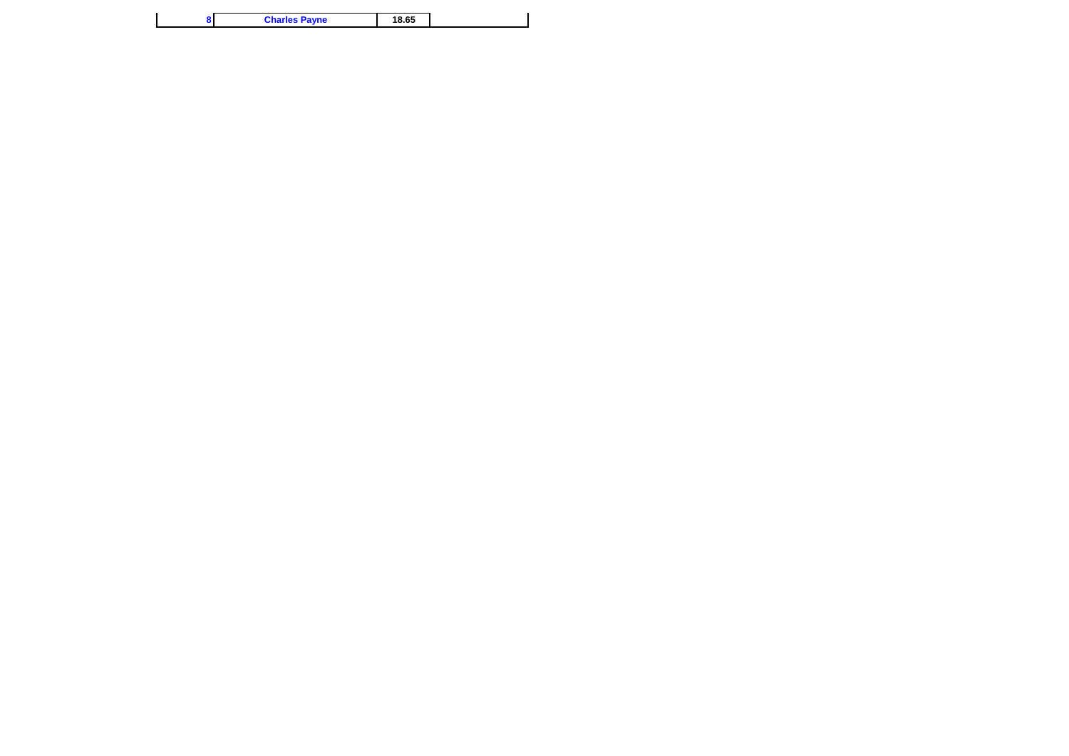|  | 18.65 | <b>Charles Payne</b> |  |
|--|-------|----------------------|--|
|--|-------|----------------------|--|